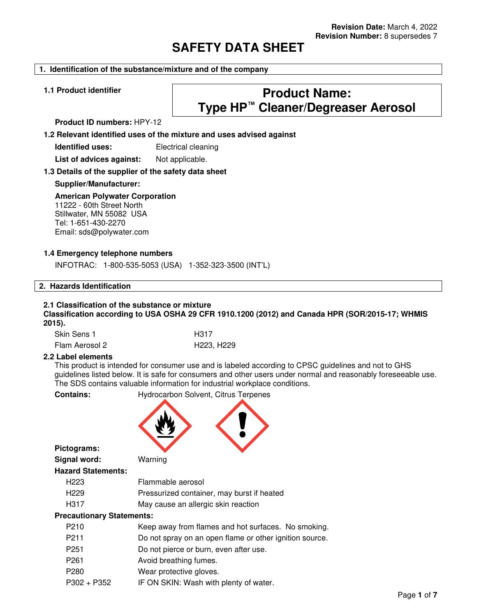# **SAFETY DATA SHEET**

## **1. Identification of the substance/mixture and of the company**

# **1.1 Product identifier Product Name: Type HP™ Cleaner/Degreaser Aerosol**

**Product ID numbers:** HPY-12

# **1.2 Relevant identified uses of the mixture and uses advised against**

**Identified uses:** Electrical cleaning

List of advices against: Not applicable.

## **1.3 Details of the supplier of the safety data sheet**

#### **Supplier/Manufacturer:**

#### **American Polywater Corporation**

11222 - 60th Street North Stillwater, MN 55082 USA Tel: 1-651-430-2270 Email: sds@polywater.com

## **1.4 Emergency telephone numbers**

INFOTRAC: 1-800-535-5053 (USA) 1-352-323-3500 (INT'L)

## **2. Hazards Identification**

## **2.1 Classification of the substance or mixture**

**Classification according to USA OSHA 29 CFR 1910.1200 (2012) and Canada HPR (SOR/2015-17; WHMIS 2015).**

| Skin Sens 1    | H317       |
|----------------|------------|
| Flam Aerosol 2 | H223, H229 |

#### **2.2 Label elements**

This product is intended for consumer use and is labeled according to CPSC guidelines and not to GHS guidelines listed below. It is safe for consumers and other users under normal and reasonably foreseeable use. The SDS contains valuable information for industrial workplace conditions.

**Contains:** Hydrocarbon Solvent, Citrus Terpenes



**Pictograms:** 

**Signal word:** Warning **Hazard Statements:**

| H223 | Flammable aerosol |  |
|------|-------------------|--|
|      |                   |  |

- H229 Pressurized container, may burst if heated
- H317 May cause an allergic skin reaction

## **Precautionary Statements:**

- P210 Keep away from flames and hot surfaces. No smoking.
- P211 Do not spray on an open flame or other ignition source.
- P251 Do not pierce or burn, even after use.
- P261 Avoid breathing fumes.
- P280 Wear protective gloves.
- P302 + P352 IF ON SKIN: Wash with plenty of water.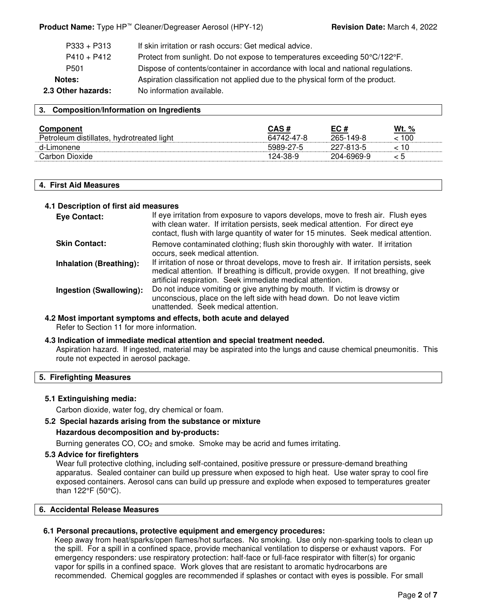| $P333 + P313$      | If skin irritation or rash occurs: Get medical advice.                           |
|--------------------|----------------------------------------------------------------------------------|
| $P410 + P412$      | Protect from sunlight. Do not expose to temperatures exceeding 50°C/122°F.       |
| P <sub>501</sub>   | Dispose of contents/container in accordance with local and national regulations. |
| Notes:             | Aspiration classification not applied due to the physical form of the product.   |
| 2.3 Other hazards: | No information available.                                                        |
|                    |                                                                                  |

## **3. Composition/Information on Ingredients**

| Component                                 | CAS#       | EC#        | <u>Wt. %</u> |
|-------------------------------------------|------------|------------|--------------|
| Petroleum distillates, hydrotreated light | 64742-47-8 | 265-149-8  | 100 >        |
| d-Limonene                                | 5989-27-5  | 227-813-5  | 10 >         |
| Carbon Dioxide                            | 124-38-9   | 204-6969-9 |              |

# **4. First Aid Measures**

# **4.1 Description of first aid measures**

| <b>Eye Contact:</b>            | If eye irritation from exposure to vapors develops, move to fresh air. Flush eyes<br>with clean water. If irritation persists, seek medical attention. For direct eye<br>contact, flush with large quantity of water for 15 minutes. Seek medical attention. |
|--------------------------------|--------------------------------------------------------------------------------------------------------------------------------------------------------------------------------------------------------------------------------------------------------------|
| <b>Skin Contact:</b>           | Remove contaminated clothing; flush skin thoroughly with water. If irritation<br>occurs, seek medical attention.                                                                                                                                             |
| <b>Inhalation (Breathing):</b> | If irritation of nose or throat develops, move to fresh air. If irritation persists, seek<br>medical attention. If breathing is difficult, provide oxygen. If not breathing, give<br>artificial respiration. Seek immediate medical attention.               |
| Ingestion (Swallowing):        | Do not induce vomiting or give anything by mouth. If victim is drowsy or<br>unconscious, place on the left side with head down. Do not leave victim<br>unattended. Seek medical attention.                                                                   |

## **4.2 Most important symptoms and effects, both acute and delayed**

Refer to Section 11 for more information.

## **4.3 Indication of immediate medical attention and special treatment needed.**

Aspiration hazard. If ingested, material may be aspirated into the lungs and cause chemical pneumonitis. This route not expected in aerosol package.

# **5. Firefighting Measures**

## **5.1 Extinguishing media:**

Carbon dioxide, water fog, dry chemical or foam.

## **5.2 Special hazards arising from the substance or mixture**

## **Hazardous decomposition and by-products:**

Burning generates CO, CO2 and smoke. Smoke may be acrid and fumes irritating.

## **5.3 Advice for firefighters**

Wear full protective clothing, including self-contained, positive pressure or pressure-demand breathing apparatus. Sealed container can build up pressure when exposed to high heat. Use water spray to cool fire exposed containers. Aerosol cans can build up pressure and explode when exposed to temperatures greater than 122°F (50°C).

## **6. Accidental Release Measures**

## **6.1 Personal precautions, protective equipment and emergency procedures:**

Keep away from heat/sparks/open flames/hot surfaces. No smoking. Use only non-sparking tools to clean up the spill. For a spill in a confined space, provide mechanical ventilation to disperse or exhaust vapors. For emergency responders: use respiratory protection: half-face or full-face respirator with filter(s) for organic vapor for spills in a confined space. Work gloves that are resistant to aromatic hydrocarbons are recommended. Chemical goggles are recommended if splashes or contact with eyes is possible. For small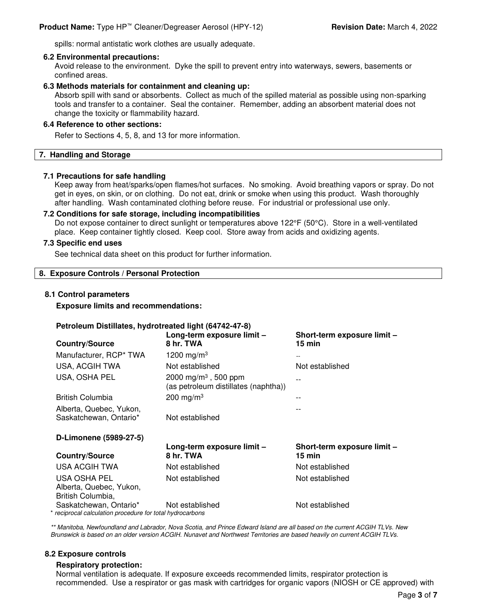spills: normal antistatic work clothes are usually adequate.

#### **6.2 Environmental precautions:**

Avoid release to the environment. Dyke the spill to prevent entry into waterways, sewers, basements or confined areas.

## **6.3 Methods materials for containment and cleaning up:**

Absorb spill with sand or absorbents. Collect as much of the spilled material as possible using non-sparking tools and transfer to a container. Seal the container. Remember, adding an absorbent material does not change the toxicity or flammability hazard.

## **6.4 Reference to other sections:**

Refer to Sections 4, 5, 8, and 13 for more information.

#### **7. Handling and Storage**

#### **7.1 Precautions for safe handling**

Keep away from heat/sparks/open flames/hot surfaces. No smoking. Avoid breathing vapors or spray. Do not get in eyes, on skin, or on clothing. Do not eat, drink or smoke when using this product. Wash thoroughly after handling. Wash contaminated clothing before reuse. For industrial or professional use only.

## **7.2 Conditions for safe storage, including incompatibilities**

Do not expose container to direct sunlight or temperatures above 122°F (50°C). Store in a well-ventilated place. Keep container tightly closed. Keep cool. Store away from acids and oxidizing agents.

#### **7.3 Specific end uses**

See technical data sheet on this product for further information.

#### **8. Exposure Controls / Personal Protection**

#### **8.1 Control parameters**

**Exposure limits and recommendations:** 

#### **Petroleum Distillates, hydrotreated light (64742-47-8)**

| <b>Country/Source</b>                                                               | Long-term exposure limit -<br>8 hr. TWA                                  | Short-term exposure limit -<br>15 min |
|-------------------------------------------------------------------------------------|--------------------------------------------------------------------------|---------------------------------------|
| Manufacturer, RCP* TWA                                                              | 1200 mg/m <sup>3</sup>                                                   | --                                    |
| USA, ACGIH TWA                                                                      | Not established                                                          | Not established                       |
| USA, OSHA PEL                                                                       | 2000 mg/m <sup>3</sup> , 500 ppm<br>(as petroleum distillates (naphtha)) |                                       |
| <b>British Columbia</b>                                                             | 200 mg/m <sup>3</sup>                                                    | --                                    |
| Alberta, Quebec, Yukon,<br>Saskatchewan, Ontario*                                   | Not established                                                          | --                                    |
| D-Limonene (5989-27-5)                                                              |                                                                          |                                       |
| <b>Country/Source</b>                                                               | Long-term exposure limit -<br>8 hr. TWA                                  | Short-term exposure limit -<br>15 min |
| USA ACGIH TWA                                                                       | Not established                                                          | Not established                       |
| USA OSHA PEL<br>Alberta, Quebec, Yukon,<br>British Columbia,                        | Not established                                                          | Not established                       |
| Saskatchewan, Ontario*<br>* reciprocal calculation procedure for total hydrocarbons | Not established                                                          | Not established                       |

\*\* Manitoba, Newfoundland and Labrador, Nova Scotia, and Prince Edward Island are all based on the current ACGIH TLVs. New Brunswick is based on an older version ACGIH. Nunavet and Northwest Territories are based heavily on current ACGIH TLVs.

#### **8.2 Exposure controls**

#### **Respiratory protection:**

Normal ventilation is adequate. If exposure exceeds recommended limits, respirator protection is recommended. Use a respirator or gas mask with cartridges for organic vapors (NIOSH or CE approved) with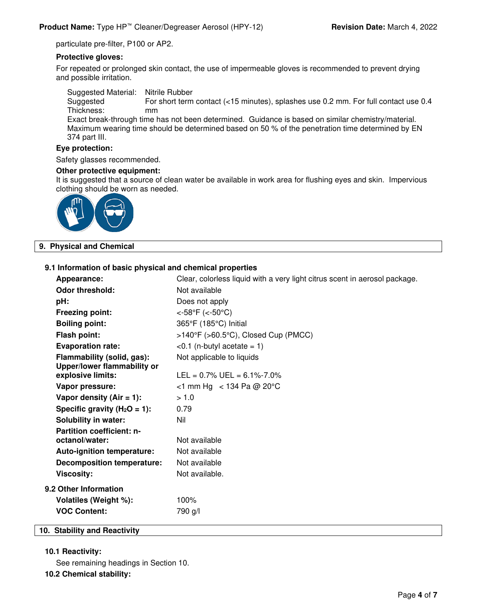particulate pre-filter, P100 or AP2.

## **Protective gloves:**

For repeated or prolonged skin contact, the use of impermeable gloves is recommended to prevent drying and possible irritation.

Suggested Material: Nitrile Rubber

Suggested Thickness: For short term contact (<15 minutes), splashes use 0.2 mm. For full contact use 0.4 mm

Exact break-through time has not been determined. Guidance is based on similar chemistry/material. Maximum wearing time should be determined based on 50 % of the penetration time determined by EN 374 part III.

## **Eye protection:**

Safety glasses recommended.

## **Other protective equipment:**

It is suggested that a source of clean water be available in work area for flushing eyes and skin. Impervious clothing should be worn as needed.



# **9. Physical and Chemical**

# **9.1 Information of basic physical and chemical properties**

| Appearance:                                               | Clear, colorless liquid with a very light citrus scent in aerosol package. |
|-----------------------------------------------------------|----------------------------------------------------------------------------|
| <b>Odor threshold:</b>                                    | Not available                                                              |
| pH:                                                       | Does not apply                                                             |
| <b>Freezing point:</b>                                    | <-58°F (<-50°C)                                                            |
| <b>Boiling point:</b>                                     | 365°F (185°C) Initial                                                      |
| Flash point:                                              | $>140^{\circ}$ F ( $>60.5^{\circ}$ C), Closed Cup (PMCC)                   |
| <b>Evaporation rate:</b>                                  | $< 0.1$ (n-butyl acetate = 1)                                              |
| Flammability (solid, gas):<br>Upper/lower flammability or | Not applicable to liquids                                                  |
| explosive limits:                                         | $LEL = 0.7\%$ UEL = 6.1%-7.0%                                              |
| Vapor pressure:                                           | $<$ 1 mm Hg $<$ 134 Pa @ 20 °C                                             |
| Vapor density $(Air = 1)$ :                               | > 1.0                                                                      |
| Specific gravity ( $H_2O = 1$ ):                          | 0.79                                                                       |
| <b>Solubility in water:</b>                               | Nil                                                                        |
| <b>Partition coefficient: n-</b>                          |                                                                            |
| octanol/water:                                            | Not available                                                              |
| <b>Auto-ignition temperature:</b>                         | Not available                                                              |
| <b>Decomposition temperature:</b>                         | Not available                                                              |
| <b>Viscosity:</b>                                         | Not available.                                                             |
| 9.2 Other Information                                     |                                                                            |
| Volatiles (Weight %):                                     | 100%                                                                       |
| <b>VOC Content:</b>                                       | 790 g/l                                                                    |
|                                                           |                                                                            |

# **10. Stability and Reactivity**

## **10.1 Reactivity:**

See remaining headings in Section 10. **10.2 Chemical stability:**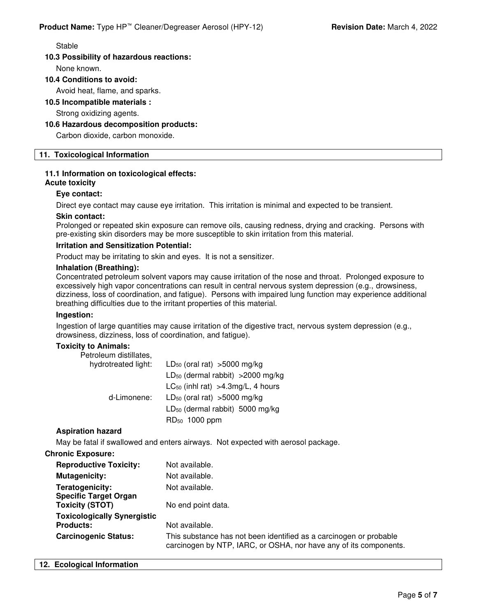Stable

## **10.3 Possibility of hazardous reactions:**

None known.

#### **10.4 Conditions to avoid:**

Avoid heat, flame, and sparks.

## **10.5 Incompatible materials :**

Strong oxidizing agents.

## **10.6 Hazardous decomposition products:**

Carbon dioxide, carbon monoxide.

# **11. Toxicological Information**

# **11.1 Information on toxicological effects:**

#### **Acute toxicity**

#### **Eye contact:**

Direct eye contact may cause eye irritation. This irritation is minimal and expected to be transient.

#### **Skin contact:**

Prolonged or repeated skin exposure can remove oils, causing redness, drying and cracking. Persons with pre-existing skin disorders may be more susceptible to skin irritation from this material.

#### **Irritation and Sensitization Potential:**

Product may be irritating to skin and eyes. It is not a sensitizer.

#### **Inhalation (Breathing):**

Concentrated petroleum solvent vapors may cause irritation of the nose and throat. Prolonged exposure to excessively high vapor concentrations can result in central nervous system depression (e.g., drowsiness, dizziness, loss of coordination, and fatigue). Persons with impaired lung function may experience additional breathing difficulties due to the irritant properties of this material.

#### **Ingestion:**

Ingestion of large quantities may cause irritation of the digestive tract, nervous system depression (e.g., drowsiness, dizziness, loss of coordination, and fatigue).

#### **Toxicity to Animals:**

| Petroleum distillates, |                                             |
|------------------------|---------------------------------------------|
| hydrotreated light:    | $LD_{50}$ (oral rat) >5000 mg/kg            |
|                        | $LD_{50}$ (dermal rabbit) > 2000 mg/kg      |
|                        | $LC_{50}$ (inhl rat) > 4.3 mg/L, 4 hours    |
| d-Limonene:            | $LD_{50}$ (oral rat) >5000 mg/kg            |
|                        | LD <sub>50</sub> (dermal rabbit) 5000 mg/kg |
|                        | RD <sub>50</sub> 1000 ppm                   |

## **Aspiration hazard**

May be fatal if swallowed and enters airways. Not expected with aerosol package.

## **Chronic Exposure:**

| <b>Reproductive Toxicity:</b>      | Not available.                                                                                                                          |
|------------------------------------|-----------------------------------------------------------------------------------------------------------------------------------------|
| <b>Mutagenicity:</b>               | Not available.                                                                                                                          |
| Teratogenicity:                    | Not available.                                                                                                                          |
| <b>Specific Target Organ</b>       |                                                                                                                                         |
| <b>Toxicity (STOT)</b>             | No end point data.                                                                                                                      |
| <b>Toxicologically Synergistic</b> |                                                                                                                                         |
| <b>Products:</b>                   | Not available.                                                                                                                          |
| <b>Carcinogenic Status:</b>        | This substance has not been identified as a carcinogen or probable<br>carcinogen by NTP, IARC, or OSHA, nor have any of its components. |

#### **12. Ecological Information**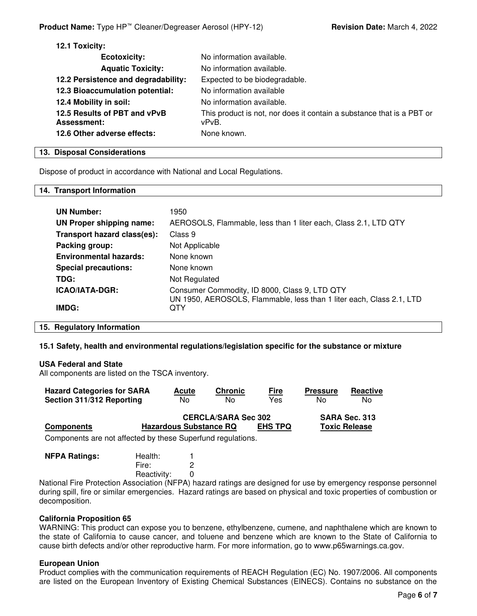| IZ.I TOXICILY.                              |                                                                                |
|---------------------------------------------|--------------------------------------------------------------------------------|
| <b>Ecotoxicity:</b>                         | No information available.                                                      |
| <b>Aquatic Toxicity:</b>                    | No information available.                                                      |
| 12.2 Persistence and degradability:         | Expected to be biodegradable.                                                  |
| 12.3 Bioaccumulation potential:             | No information available                                                       |
| 12.4 Mobility in soil:                      | No information available.                                                      |
| 12.5 Results of PBT and vPvB<br>Assessment: | This product is not, nor does it contain a substance that is a PBT or<br>vPvB. |
| 12.6 Other adverse effects:                 | None known.                                                                    |

## **13. Disposal Considerations**

**12.1 Toxicity:** 

Dispose of product in accordance with National and Local Regulations.

#### **14. Transport Information**

| <b>UN Number:</b><br>UN Proper shipping name: | 1950<br>AEROSOLS, Flammable, less than 1 liter each, Class 2.1, LTD QTY                                               |
|-----------------------------------------------|-----------------------------------------------------------------------------------------------------------------------|
| Transport hazard class(es):                   | Class 9                                                                                                               |
| Packing group:                                | Not Applicable                                                                                                        |
| <b>Environmental hazards:</b>                 | None known                                                                                                            |
| <b>Special precautions:</b>                   | None known                                                                                                            |
| TDG:                                          | Not Regulated                                                                                                         |
| <b>ICAO/IATA-DGR:</b>                         | Consumer Commodity, ID 8000, Class 9, LTD QTY<br>UN 1950, AEROSOLS, Flammable, less than 1 liter each, Class 2.1, LTD |
| IMDG:                                         | 0TY                                                                                                                   |

#### **15. Regulatory Information**

## **15.1 Safety, health and environmental regulations/legislation specific for the substance or mixture**

## **USA Federal and State**

All components are listed on the TSCA inventory.

| <b>Hazard Categories for SARA</b> |                               | <b>Acute</b> | <b>Chronic</b>             | <u>Fire</u>    | <b>Pressure</b> | Reactive             |
|-----------------------------------|-------------------------------|--------------|----------------------------|----------------|-----------------|----------------------|
| Section 311/312 Reporting         |                               | No.          | No                         | Yes            | N٥              | No.                  |
|                                   |                               |              | <b>CERCLA/SARA Sec 302</b> |                |                 | SARA Sec. 313        |
| <b>Components</b>                 | <b>Hazardous Substance RQ</b> |              |                            | <b>EHS TPQ</b> |                 | <b>Toxic Release</b> |

Components are not affected by these Superfund regulations.

| <b>NFPA Ratings:</b> | Health:     |   |
|----------------------|-------------|---|
|                      | Fire:       | 2 |
|                      | Reactivity: |   |
| . .                  |             |   |

National Fire Protection Association (NFPA) hazard ratings are designed for use by emergency response personnel during spill, fire or similar emergencies. Hazard ratings are based on physical and toxic properties of combustion or decomposition.

## **California Proposition 65**

WARNING: This product can expose you to benzene, ethylbenzene, cumene, and naphthalene which are known to the state of California to cause cancer, and toluene and benzene which are known to the State of California to cause birth defects and/or other reproductive harm. For more information, go to www.p65warnings.ca.gov.

## **European Union**

Product complies with the communication requirements of REACH Regulation (EC) No. 1907/2006. All components are listed on the European Inventory of Existing Chemical Substances (EINECS). Contains no substance on the